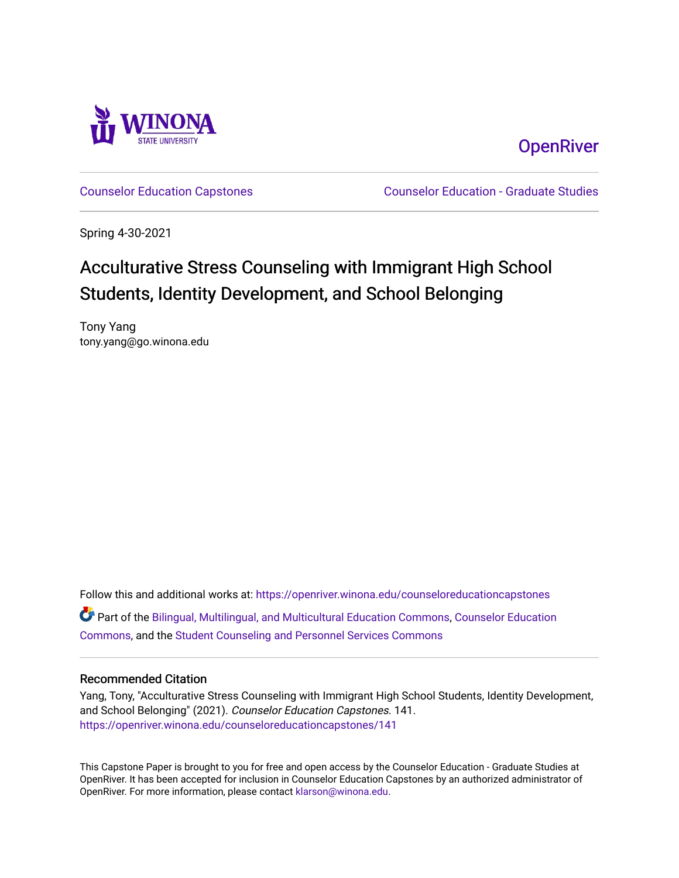

**OpenRiver** 

[Counselor Education Capstones](https://openriver.winona.edu/counseloreducationcapstones) [Counselor Education - Graduate Studies](https://openriver.winona.edu/counseloreducation) 

Spring 4-30-2021

## Acculturative Stress Counseling with Immigrant High School Students, Identity Development, and School Belonging

Tony Yang tony.yang@go.winona.edu

Follow this and additional works at: [https://openriver.winona.edu/counseloreducationcapstones](https://openriver.winona.edu/counseloreducationcapstones?utm_source=openriver.winona.edu%2Fcounseloreducationcapstones%2F141&utm_medium=PDF&utm_campaign=PDFCoverPages) Part of the [Bilingual, Multilingual, and Multicultural Education Commons,](http://network.bepress.com/hgg/discipline/785?utm_source=openriver.winona.edu%2Fcounseloreducationcapstones%2F141&utm_medium=PDF&utm_campaign=PDFCoverPages) [Counselor Education](http://network.bepress.com/hgg/discipline/1278?utm_source=openriver.winona.edu%2Fcounseloreducationcapstones%2F141&utm_medium=PDF&utm_campaign=PDFCoverPages) [Commons](http://network.bepress.com/hgg/discipline/1278?utm_source=openriver.winona.edu%2Fcounseloreducationcapstones%2F141&utm_medium=PDF&utm_campaign=PDFCoverPages), and the [Student Counseling and Personnel Services Commons](http://network.bepress.com/hgg/discipline/802?utm_source=openriver.winona.edu%2Fcounseloreducationcapstones%2F141&utm_medium=PDF&utm_campaign=PDFCoverPages) 

#### Recommended Citation

Yang, Tony, "Acculturative Stress Counseling with Immigrant High School Students, Identity Development, and School Belonging" (2021). Counselor Education Capstones. 141. [https://openriver.winona.edu/counseloreducationcapstones/141](https://openriver.winona.edu/counseloreducationcapstones/141?utm_source=openriver.winona.edu%2Fcounseloreducationcapstones%2F141&utm_medium=PDF&utm_campaign=PDFCoverPages)

This Capstone Paper is brought to you for free and open access by the Counselor Education - Graduate Studies at OpenRiver. It has been accepted for inclusion in Counselor Education Capstones by an authorized administrator of OpenRiver. For more information, please contact [klarson@winona.edu](mailto:klarson@winona.edu).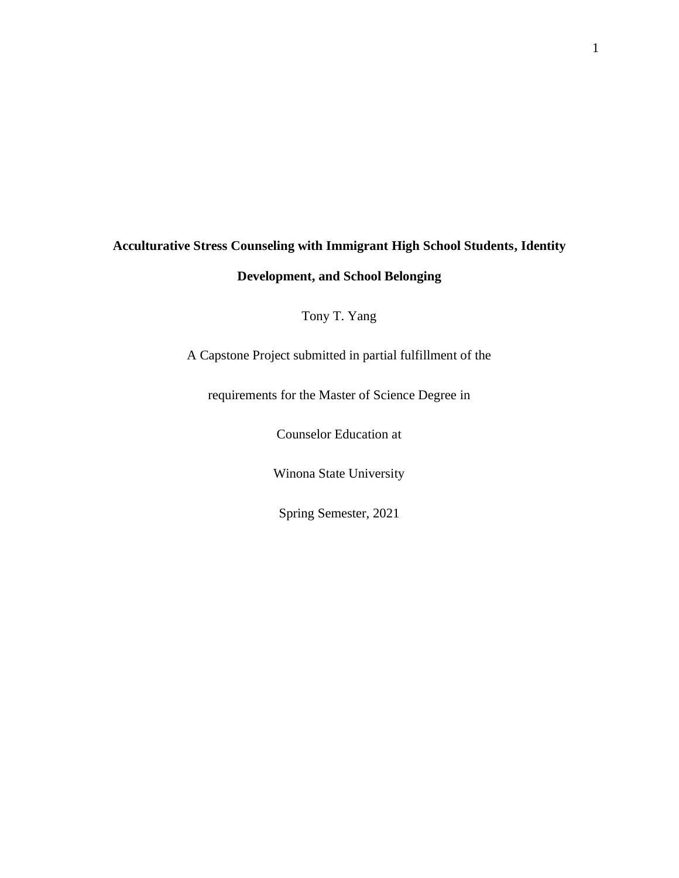# **Acculturative Stress Counseling with Immigrant High School Students, Identity Development, and School Belonging**

Tony T. Yang

A Capstone Project submitted in partial fulfillment of the

requirements for the Master of Science Degree in

Counselor Education at

Winona State University

Spring Semester, 2021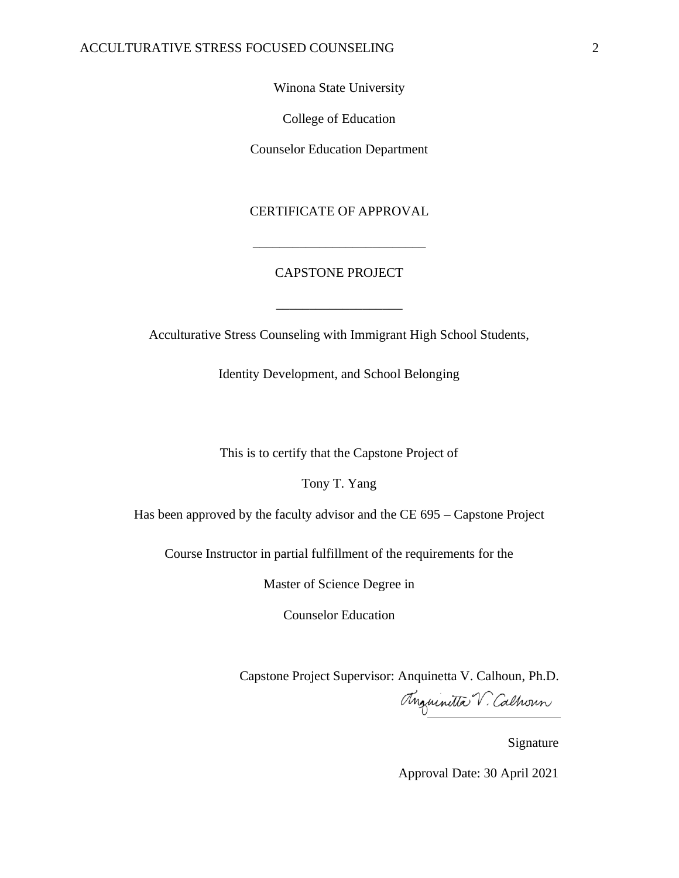Winona State University

College of Education

Counselor Education Department

CERTIFICATE OF APPROVAL

#### CAPSTONE PROJECT

\_\_\_\_\_\_\_\_\_\_\_\_\_\_\_\_\_\_\_

\_\_\_\_\_\_\_\_\_\_\_\_\_\_\_\_\_\_\_\_\_\_\_\_\_\_

Acculturative Stress Counseling with Immigrant High School Students,

Identity Development, and School Belonging

This is to certify that the Capstone Project of

Tony T. Yang

Has been approved by the faculty advisor and the CE 695 – Capstone Project

Course Instructor in partial fulfillment of the requirements for the

Master of Science Degree in

Counselor Education

Capstone Project Supervisor: Anquinetta V. Calhoun, Ph.D.

Anguinitta V. Calhoun

Signature

Approval Date: 30 April 2021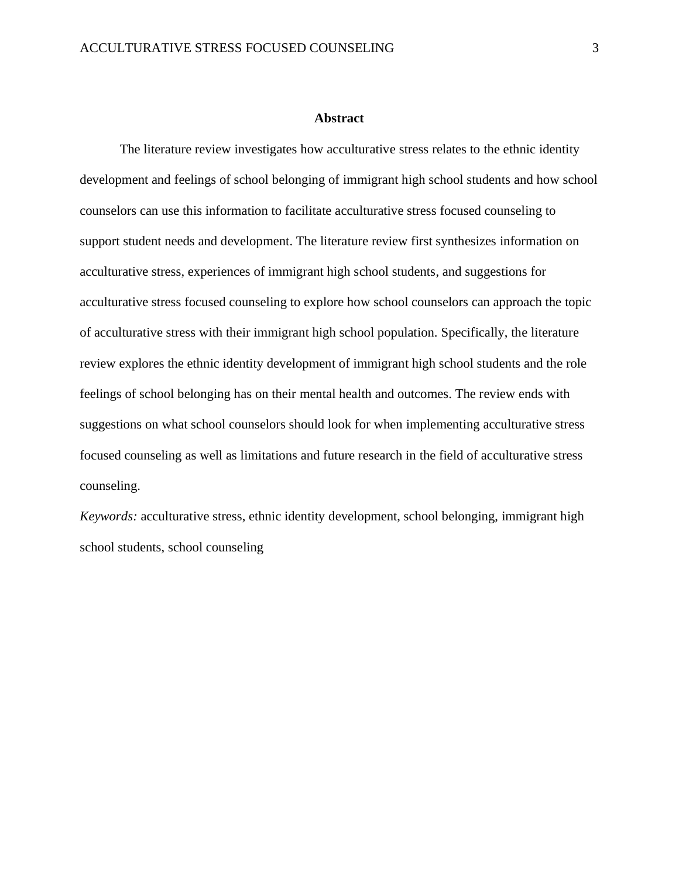#### **Abstract**

The literature review investigates how acculturative stress relates to the ethnic identity development and feelings of school belonging of immigrant high school students and how school counselors can use this information to facilitate acculturative stress focused counseling to support student needs and development. The literature review first synthesizes information on acculturative stress, experiences of immigrant high school students, and suggestions for acculturative stress focused counseling to explore how school counselors can approach the topic of acculturative stress with their immigrant high school population. Specifically, the literature review explores the ethnic identity development of immigrant high school students and the role feelings of school belonging has on their mental health and outcomes. The review ends with suggestions on what school counselors should look for when implementing acculturative stress focused counseling as well as limitations and future research in the field of acculturative stress counseling.

*Keywords:* acculturative stress, ethnic identity development, school belonging, immigrant high school students, school counseling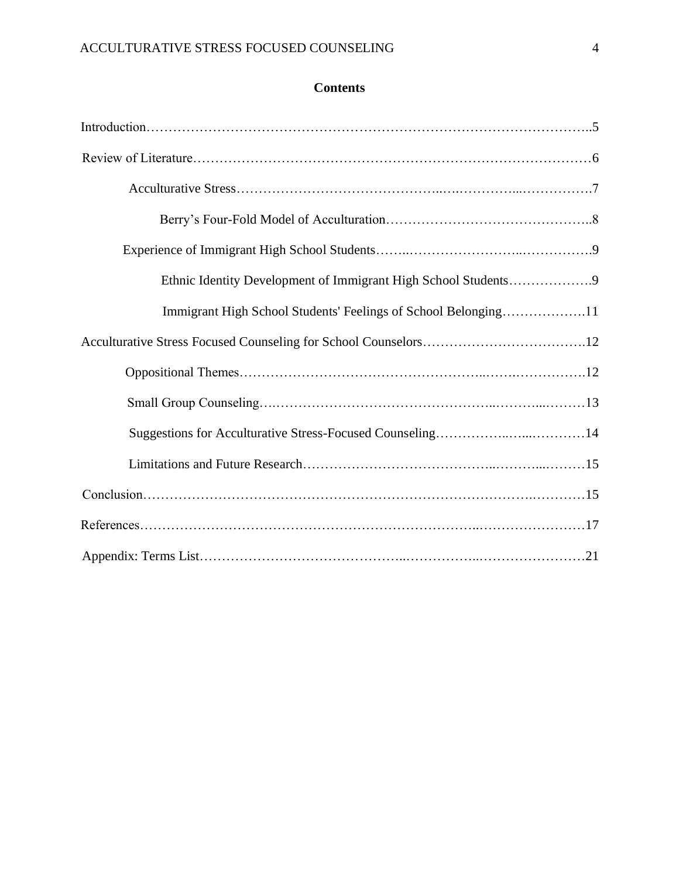### **Contents**

| Immigrant High School Students' Feelings of School Belonging11 |  |
|----------------------------------------------------------------|--|
|                                                                |  |
|                                                                |  |
|                                                                |  |
|                                                                |  |
|                                                                |  |
|                                                                |  |
|                                                                |  |
|                                                                |  |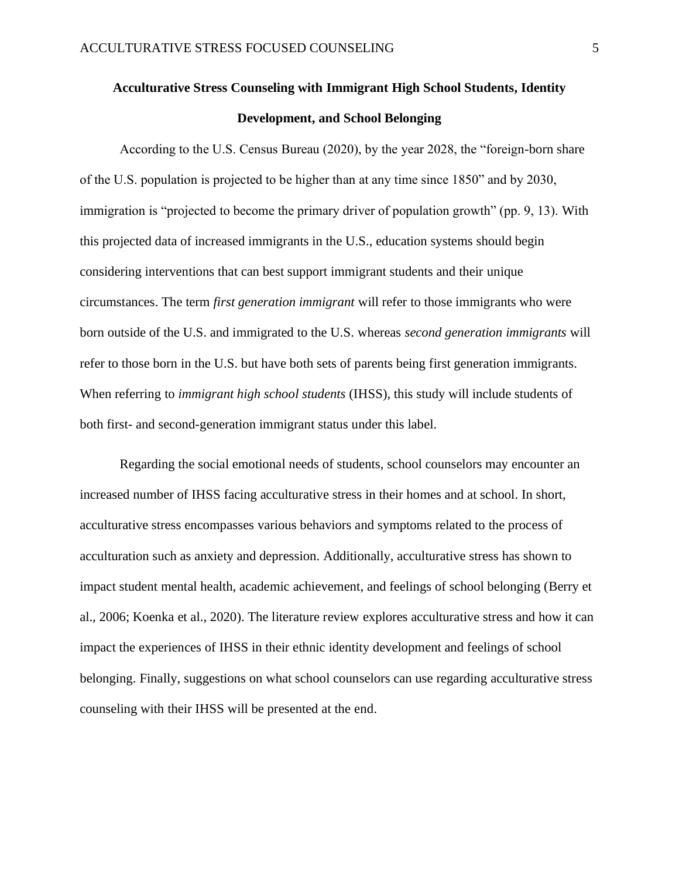### **Acculturative Stress Counseling with Immigrant High School Students, Identity Development, and School Belonging**

According to the U.S. Census Bureau (2020), by the year 2028, the "foreign-born share of the U.S. population is projected to be higher than at any time since 1850" and by 2030, immigration is "projected to become the primary driver of population growth" (pp. 9, 13). With this projected data of increased immigrants in the U.S., education systems should begin considering interventions that can best support immigrant students and their unique circumstances. The term *first generation immigrant* will refer to those immigrants who were born outside of the U.S. and immigrated to the U.S. whereas *second generation immigrants* will refer to those born in the U.S. but have both sets of parents being first generation immigrants. When referring to *immigrant high school students* (IHSS), this study will include students of both first- and second-generation immigrant status under this label.

Regarding the social emotional needs of students, school counselors may encounter an increased number of IHSS facing acculturative stress in their homes and at school. In short, acculturative stress encompasses various behaviors and symptoms related to the process of acculturation such as anxiety and depression. Additionally, acculturative stress has shown to impact student mental health, academic achievement, and feelings of school belonging (Berry et al., 2006; Koenka et al., 2020). The literature review explores acculturative stress and how it can impact the experiences of IHSS in their ethnic identity development and feelings of school belonging. Finally, suggestions on what school counselors can use regarding acculturative stress counseling with their IHSS will be presented at the end.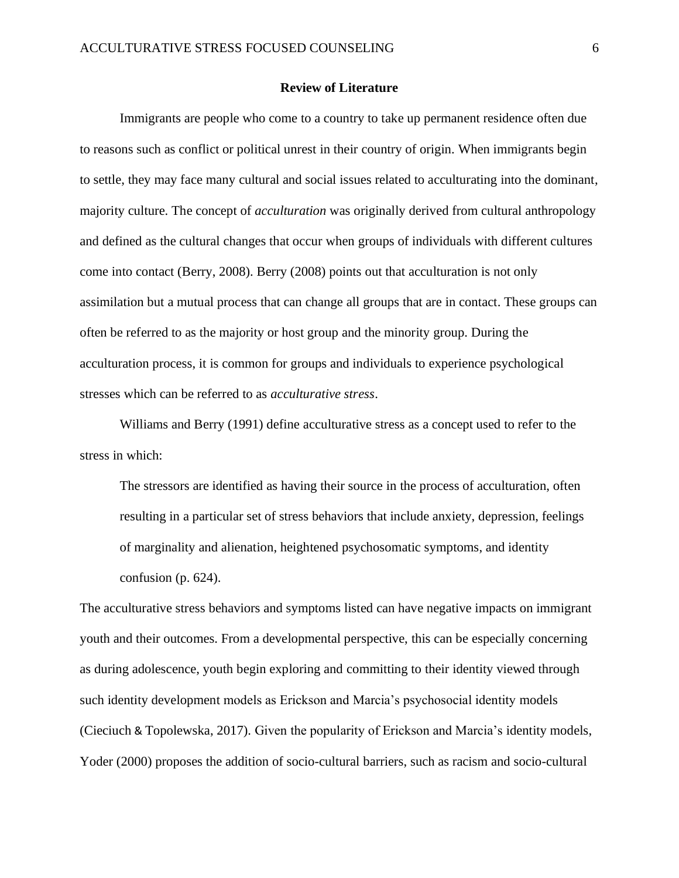#### **Review of Literature**

Immigrants are people who come to a country to take up permanent residence often due to reasons such as conflict or political unrest in their country of origin. When immigrants begin to settle, they may face many cultural and social issues related to acculturating into the dominant, majority culture. The concept of *acculturation* was originally derived from cultural anthropology and defined as the cultural changes that occur when groups of individuals with different cultures come into contact (Berry, 2008). Berry (2008) points out that acculturation is not only assimilation but a mutual process that can change all groups that are in contact. These groups can often be referred to as the majority or host group and the minority group. During the acculturation process, it is common for groups and individuals to experience psychological stresses which can be referred to as *acculturative stress*.

Williams and Berry (1991) define acculturative stress as a concept used to refer to the stress in which:

The stressors are identified as having their source in the process of acculturation, often resulting in a particular set of stress behaviors that include anxiety, depression, feelings of marginality and alienation, heightened psychosomatic symptoms, and identity confusion (p. 624).

The acculturative stress behaviors and symptoms listed can have negative impacts on immigrant youth and their outcomes. From a developmental perspective, this can be especially concerning as during adolescence, youth begin exploring and committing to their identity viewed through such identity development models as Erickson and Marcia's psychosocial identity models (Cieciuch & Topolewska, 2017). Given the popularity of Erickson and Marcia's identity models, Yoder (2000) proposes the addition of socio-cultural barriers, such as racism and socio-cultural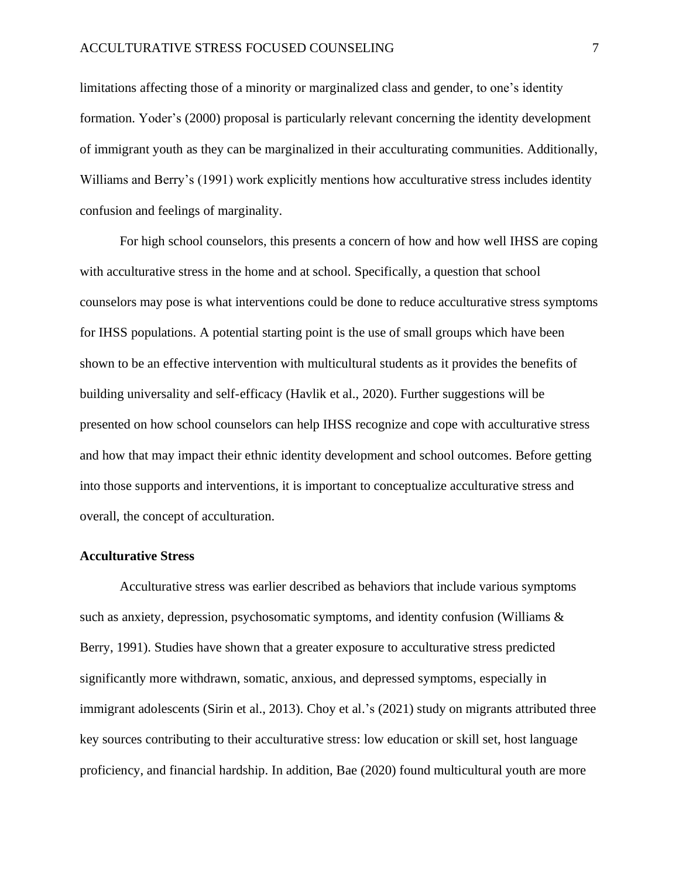limitations affecting those of a minority or marginalized class and gender, to one's identity formation. Yoder's (2000) proposal is particularly relevant concerning the identity development of immigrant youth as they can be marginalized in their acculturating communities. Additionally, Williams and Berry's (1991) work explicitly mentions how acculturative stress includes identity confusion and feelings of marginality.

For high school counselors, this presents a concern of how and how well IHSS are coping with acculturative stress in the home and at school. Specifically, a question that school counselors may pose is what interventions could be done to reduce acculturative stress symptoms for IHSS populations. A potential starting point is the use of small groups which have been shown to be an effective intervention with multicultural students as it provides the benefits of building universality and self-efficacy (Havlik et al., 2020). Further suggestions will be presented on how school counselors can help IHSS recognize and cope with acculturative stress and how that may impact their ethnic identity development and school outcomes. Before getting into those supports and interventions, it is important to conceptualize acculturative stress and overall, the concept of acculturation.

#### **Acculturative Stress**

Acculturative stress was earlier described as behaviors that include various symptoms such as anxiety, depression, psychosomatic symptoms, and identity confusion (Williams  $\&$ Berry, 1991). Studies have shown that a greater exposure to acculturative stress predicted significantly more withdrawn, somatic, anxious, and depressed symptoms, especially in immigrant adolescents (Sirin et al., 2013). Choy et al.'s (2021) study on migrants attributed three key sources contributing to their acculturative stress: low education or skill set, host language proficiency, and financial hardship. In addition, Bae (2020) found multicultural youth are more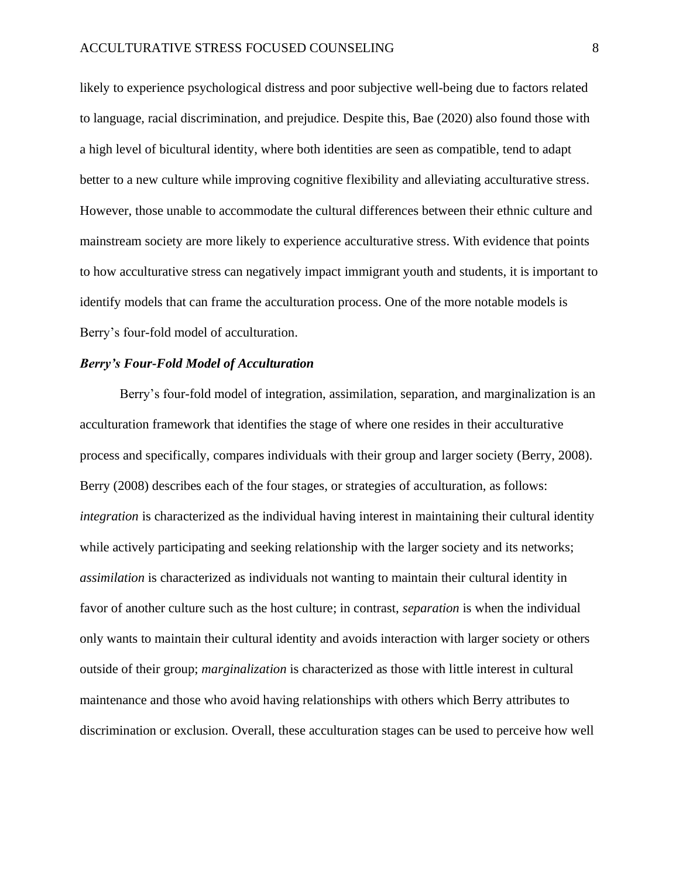likely to experience psychological distress and poor subjective well-being due to factors related to language, racial discrimination, and prejudice. Despite this, Bae (2020) also found those with a high level of bicultural identity, where both identities are seen as compatible, tend to adapt better to a new culture while improving cognitive flexibility and alleviating acculturative stress. However, those unable to accommodate the cultural differences between their ethnic culture and mainstream society are more likely to experience acculturative stress. With evidence that points to how acculturative stress can negatively impact immigrant youth and students, it is important to identify models that can frame the acculturation process. One of the more notable models is Berry's four-fold model of acculturation.

#### *Berry's Four-Fold Model of Acculturation*

Berry's four-fold model of integration, assimilation, separation, and marginalization is an acculturation framework that identifies the stage of where one resides in their acculturative process and specifically, compares individuals with their group and larger society (Berry, 2008). Berry (2008) describes each of the four stages, or strategies of acculturation, as follows: *integration* is characterized as the individual having interest in maintaining their cultural identity while actively participating and seeking relationship with the larger society and its networks; *assimilation* is characterized as individuals not wanting to maintain their cultural identity in favor of another culture such as the host culture; in contrast, *separation* is when the individual only wants to maintain their cultural identity and avoids interaction with larger society or others outside of their group; *marginalization* is characterized as those with little interest in cultural maintenance and those who avoid having relationships with others which Berry attributes to discrimination or exclusion. Overall, these acculturation stages can be used to perceive how well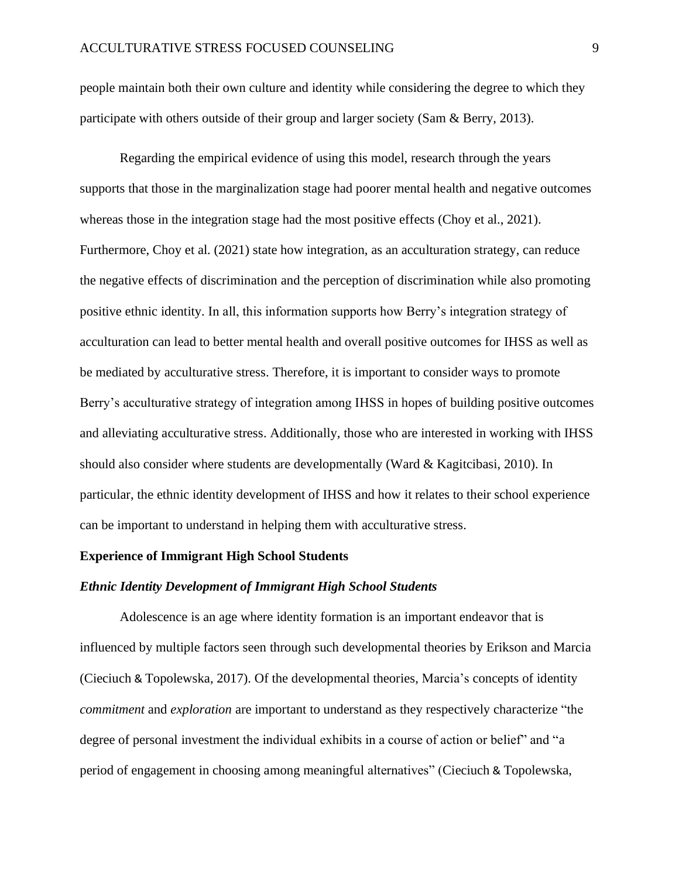people maintain both their own culture and identity while considering the degree to which they participate with others outside of their group and larger society (Sam & Berry, 2013).

Regarding the empirical evidence of using this model, research through the years supports that those in the marginalization stage had poorer mental health and negative outcomes whereas those in the integration stage had the most positive effects (Choy et al., 2021). Furthermore, Choy et al. (2021) state how integration, as an acculturation strategy, can reduce the negative effects of discrimination and the perception of discrimination while also promoting positive ethnic identity. In all, this information supports how Berry's integration strategy of acculturation can lead to better mental health and overall positive outcomes for IHSS as well as be mediated by acculturative stress. Therefore, it is important to consider ways to promote Berry's acculturative strategy of integration among IHSS in hopes of building positive outcomes and alleviating acculturative stress. Additionally, those who are interested in working with IHSS should also consider where students are developmentally (Ward  $&$  Kagitcibasi, 2010). In particular, the ethnic identity development of IHSS and how it relates to their school experience can be important to understand in helping them with acculturative stress.

#### **Experience of Immigrant High School Students**

#### *Ethnic Identity Development of Immigrant High School Students*

Adolescence is an age where identity formation is an important endeavor that is influenced by multiple factors seen through such developmental theories by Erikson and Marcia (Cieciuch & Topolewska, 2017). Of the developmental theories, Marcia's concepts of identity *commitment* and *exploration* are important to understand as they respectively characterize "the degree of personal investment the individual exhibits in a course of action or belief" and "a period of engagement in choosing among meaningful alternatives" (Cieciuch & Topolewska,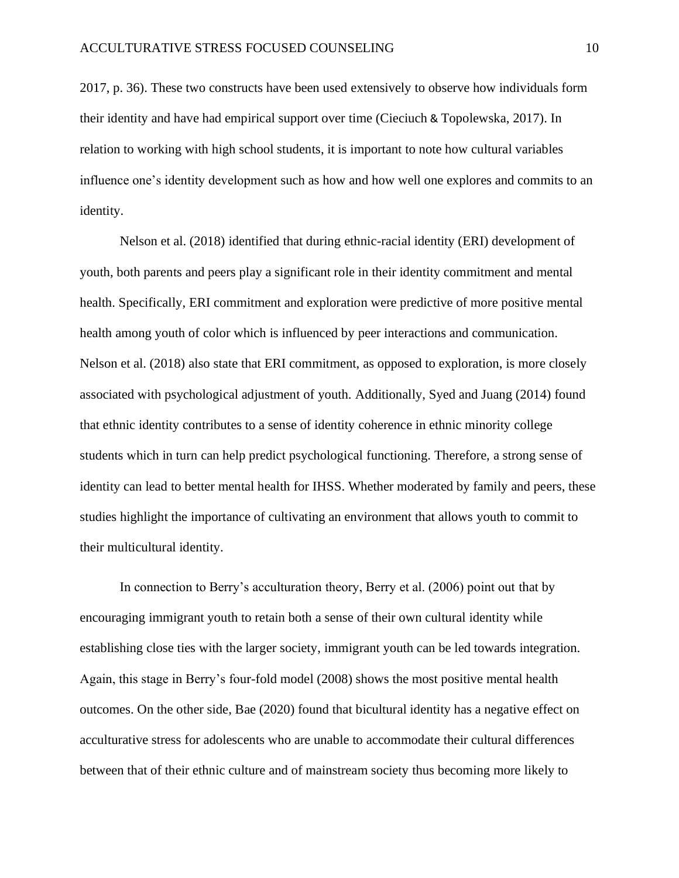2017, p. 36). These two constructs have been used extensively to observe how individuals form their identity and have had empirical support over time (Cieciuch & Topolewska, 2017). In relation to working with high school students, it is important to note how cultural variables influence one's identity development such as how and how well one explores and commits to an identity.

Nelson et al. (2018) identified that during ethnic-racial identity (ERI) development of youth, both parents and peers play a significant role in their identity commitment and mental health. Specifically, ERI commitment and exploration were predictive of more positive mental health among youth of color which is influenced by peer interactions and communication. Nelson et al. (2018) also state that ERI commitment, as opposed to exploration, is more closely associated with psychological adjustment of youth. Additionally, Syed and Juang (2014) found that ethnic identity contributes to a sense of identity coherence in ethnic minority college students which in turn can help predict psychological functioning. Therefore, a strong sense of identity can lead to better mental health for IHSS. Whether moderated by family and peers, these studies highlight the importance of cultivating an environment that allows youth to commit to their multicultural identity.

In connection to Berry's acculturation theory, Berry et al. (2006) point out that by encouraging immigrant youth to retain both a sense of their own cultural identity while establishing close ties with the larger society, immigrant youth can be led towards integration. Again, this stage in Berry's four-fold model (2008) shows the most positive mental health outcomes. On the other side, Bae (2020) found that bicultural identity has a negative effect on acculturative stress for adolescents who are unable to accommodate their cultural differences between that of their ethnic culture and of mainstream society thus becoming more likely to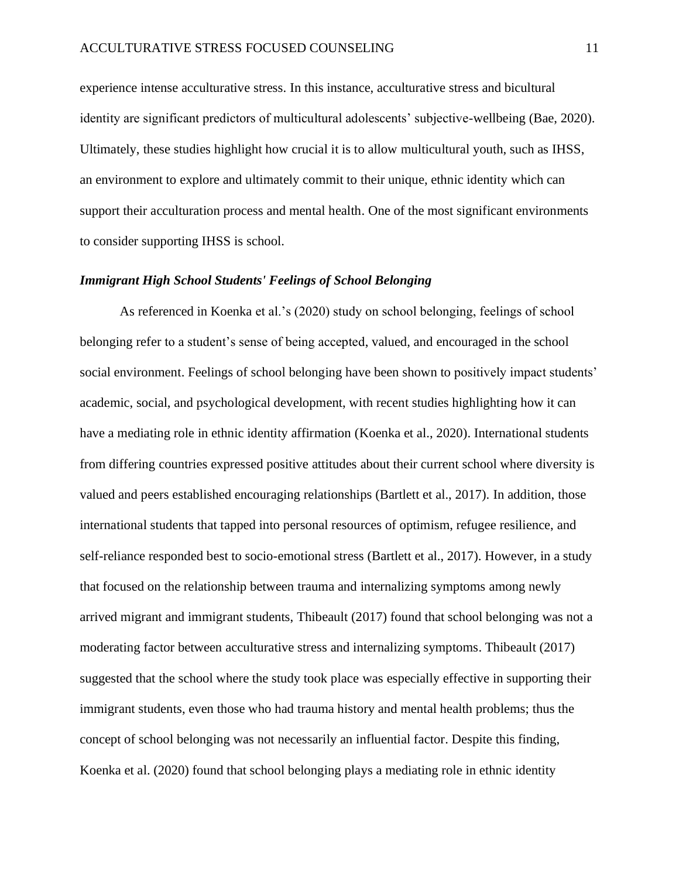experience intense acculturative stress. In this instance, acculturative stress and bicultural identity are significant predictors of multicultural adolescents' subjective-wellbeing (Bae, 2020). Ultimately, these studies highlight how crucial it is to allow multicultural youth, such as IHSS, an environment to explore and ultimately commit to their unique, ethnic identity which can support their acculturation process and mental health. One of the most significant environments to consider supporting IHSS is school.

#### *Immigrant High School Students' Feelings of School Belonging*

As referenced in Koenka et al.'s (2020) study on school belonging, feelings of school belonging refer to a student's sense of being accepted, valued, and encouraged in the school social environment. Feelings of school belonging have been shown to positively impact students' academic, social, and psychological development, with recent studies highlighting how it can have a mediating role in ethnic identity affirmation (Koenka et al., 2020). International students from differing countries expressed positive attitudes about their current school where diversity is valued and peers established encouraging relationships (Bartlett et al., 2017). In addition, those international students that tapped into personal resources of optimism, refugee resilience, and self-reliance responded best to socio-emotional stress (Bartlett et al., 2017). However, in a study that focused on the relationship between trauma and internalizing symptoms among newly arrived migrant and immigrant students, Thibeault (2017) found that school belonging was not a moderating factor between acculturative stress and internalizing symptoms. Thibeault (2017) suggested that the school where the study took place was especially effective in supporting their immigrant students, even those who had trauma history and mental health problems; thus the concept of school belonging was not necessarily an influential factor. Despite this finding, Koenka et al. (2020) found that school belonging plays a mediating role in ethnic identity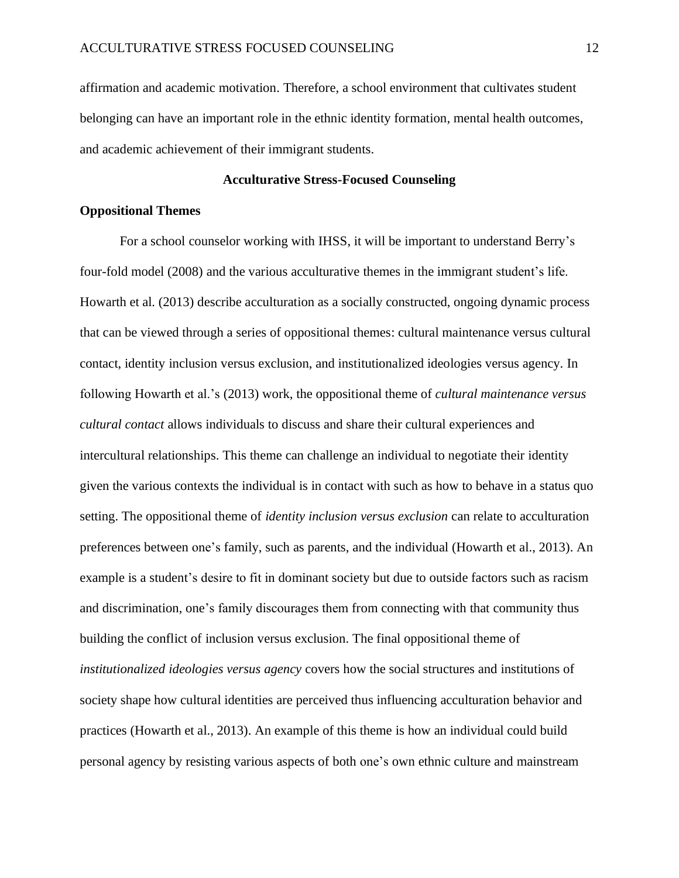affirmation and academic motivation. Therefore, a school environment that cultivates student belonging can have an important role in the ethnic identity formation, mental health outcomes, and academic achievement of their immigrant students.

#### **Acculturative Stress-Focused Counseling**

#### **Oppositional Themes**

For a school counselor working with IHSS, it will be important to understand Berry's four-fold model (2008) and the various acculturative themes in the immigrant student's life. Howarth et al. (2013) describe acculturation as a socially constructed, ongoing dynamic process that can be viewed through a series of oppositional themes: cultural maintenance versus cultural contact, identity inclusion versus exclusion, and institutionalized ideologies versus agency. In following Howarth et al.'s (2013) work, the oppositional theme of *cultural maintenance versus cultural contact* allows individuals to discuss and share their cultural experiences and intercultural relationships. This theme can challenge an individual to negotiate their identity given the various contexts the individual is in contact with such as how to behave in a status quo setting. The oppositional theme of *identity inclusion versus exclusion* can relate to acculturation preferences between one's family, such as parents, and the individual (Howarth et al., 2013). An example is a student's desire to fit in dominant society but due to outside factors such as racism and discrimination, one's family discourages them from connecting with that community thus building the conflict of inclusion versus exclusion. The final oppositional theme of *institutionalized ideologies versus agency* covers how the social structures and institutions of society shape how cultural identities are perceived thus influencing acculturation behavior and practices (Howarth et al., 2013). An example of this theme is how an individual could build personal agency by resisting various aspects of both one's own ethnic culture and mainstream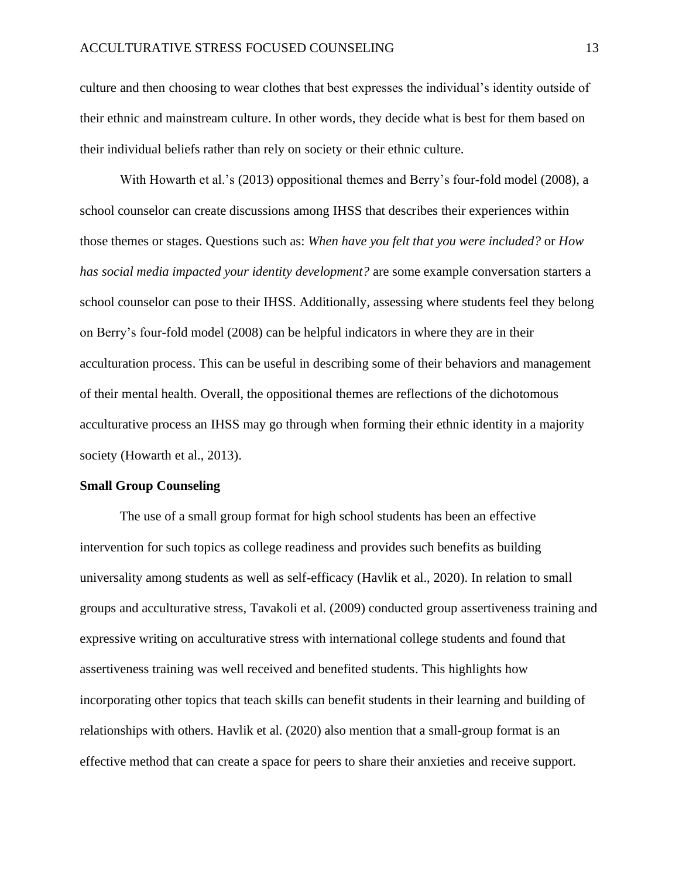culture and then choosing to wear clothes that best expresses the individual's identity outside of their ethnic and mainstream culture. In other words, they decide what is best for them based on their individual beliefs rather than rely on society or their ethnic culture.

With Howarth et al.'s (2013) oppositional themes and Berry's four-fold model (2008), a school counselor can create discussions among IHSS that describes their experiences within those themes or stages. Questions such as: *When have you felt that you were included?* or *How has social media impacted your identity development?* are some example conversation starters a school counselor can pose to their IHSS. Additionally, assessing where students feel they belong on Berry's four-fold model (2008) can be helpful indicators in where they are in their acculturation process. This can be useful in describing some of their behaviors and management of their mental health. Overall, the oppositional themes are reflections of the dichotomous acculturative process an IHSS may go through when forming their ethnic identity in a majority society (Howarth et al., 2013).

#### **Small Group Counseling**

The use of a small group format for high school students has been an effective intervention for such topics as college readiness and provides such benefits as building universality among students as well as self-efficacy (Havlik et al., 2020). In relation to small groups and acculturative stress, Tavakoli et al. (2009) conducted group assertiveness training and expressive writing on acculturative stress with international college students and found that assertiveness training was well received and benefited students. This highlights how incorporating other topics that teach skills can benefit students in their learning and building of relationships with others. Havlik et al. (2020) also mention that a small-group format is an effective method that can create a space for peers to share their anxieties and receive support.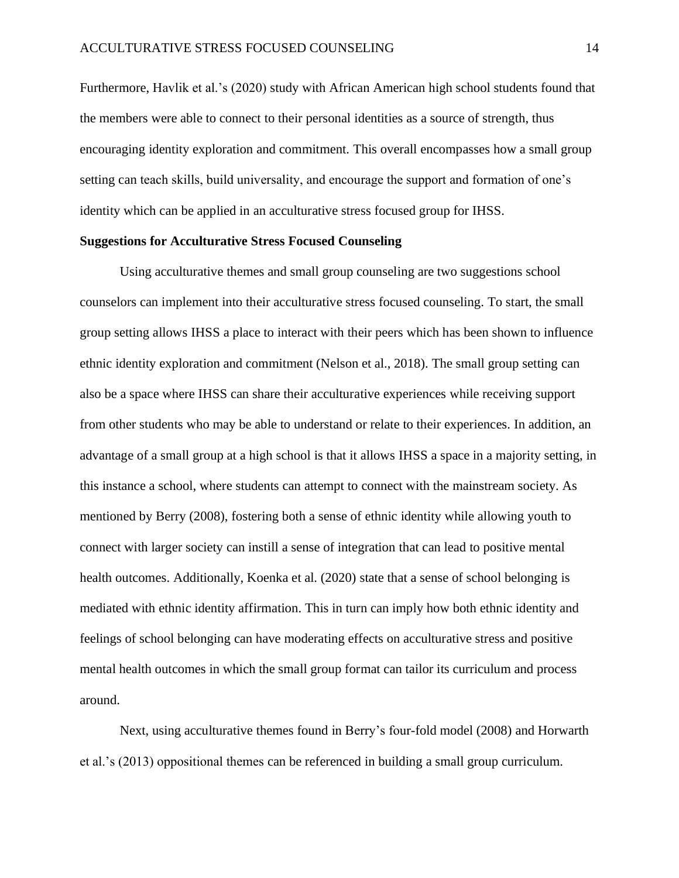Furthermore, Havlik et al.'s (2020) study with African American high school students found that the members were able to connect to their personal identities as a source of strength, thus encouraging identity exploration and commitment. This overall encompasses how a small group setting can teach skills, build universality, and encourage the support and formation of one's identity which can be applied in an acculturative stress focused group for IHSS.

#### **Suggestions for Acculturative Stress Focused Counseling**

Using acculturative themes and small group counseling are two suggestions school counselors can implement into their acculturative stress focused counseling. To start, the small group setting allows IHSS a place to interact with their peers which has been shown to influence ethnic identity exploration and commitment (Nelson et al., 2018). The small group setting can also be a space where IHSS can share their acculturative experiences while receiving support from other students who may be able to understand or relate to their experiences. In addition, an advantage of a small group at a high school is that it allows IHSS a space in a majority setting, in this instance a school, where students can attempt to connect with the mainstream society. As mentioned by Berry (2008), fostering both a sense of ethnic identity while allowing youth to connect with larger society can instill a sense of integration that can lead to positive mental health outcomes. Additionally, Koenka et al. (2020) state that a sense of school belonging is mediated with ethnic identity affirmation. This in turn can imply how both ethnic identity and feelings of school belonging can have moderating effects on acculturative stress and positive mental health outcomes in which the small group format can tailor its curriculum and process around.

Next, using acculturative themes found in Berry's four-fold model (2008) and Horwarth et al.'s (2013) oppositional themes can be referenced in building a small group curriculum.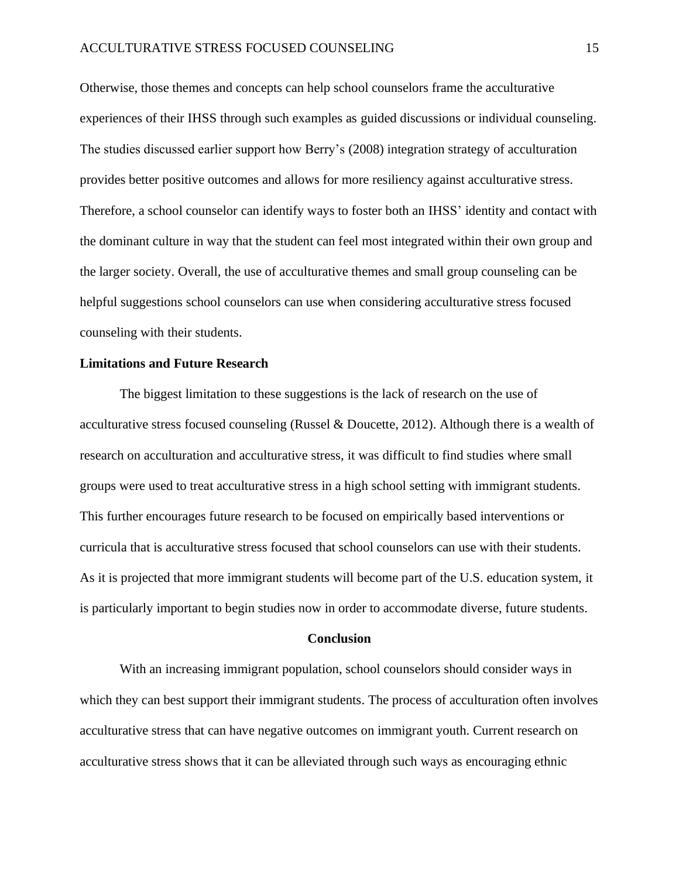Otherwise, those themes and concepts can help school counselors frame the acculturative experiences of their IHSS through such examples as guided discussions or individual counseling. The studies discussed earlier support how Berry's (2008) integration strategy of acculturation provides better positive outcomes and allows for more resiliency against acculturative stress. Therefore, a school counselor can identify ways to foster both an IHSS' identity and contact with the dominant culture in way that the student can feel most integrated within their own group and the larger society. Overall, the use of acculturative themes and small group counseling can be helpful suggestions school counselors can use when considering acculturative stress focused counseling with their students.

#### **Limitations and Future Research**

The biggest limitation to these suggestions is the lack of research on the use of acculturative stress focused counseling (Russel & Doucette, 2012). Although there is a wealth of research on acculturation and acculturative stress, it was difficult to find studies where small groups were used to treat acculturative stress in a high school setting with immigrant students. This further encourages future research to be focused on empirically based interventions or curricula that is acculturative stress focused that school counselors can use with their students. As it is projected that more immigrant students will become part of the U.S. education system, it is particularly important to begin studies now in order to accommodate diverse, future students.

#### **Conclusion**

With an increasing immigrant population, school counselors should consider ways in which they can best support their immigrant students. The process of acculturation often involves acculturative stress that can have negative outcomes on immigrant youth. Current research on acculturative stress shows that it can be alleviated through such ways as encouraging ethnic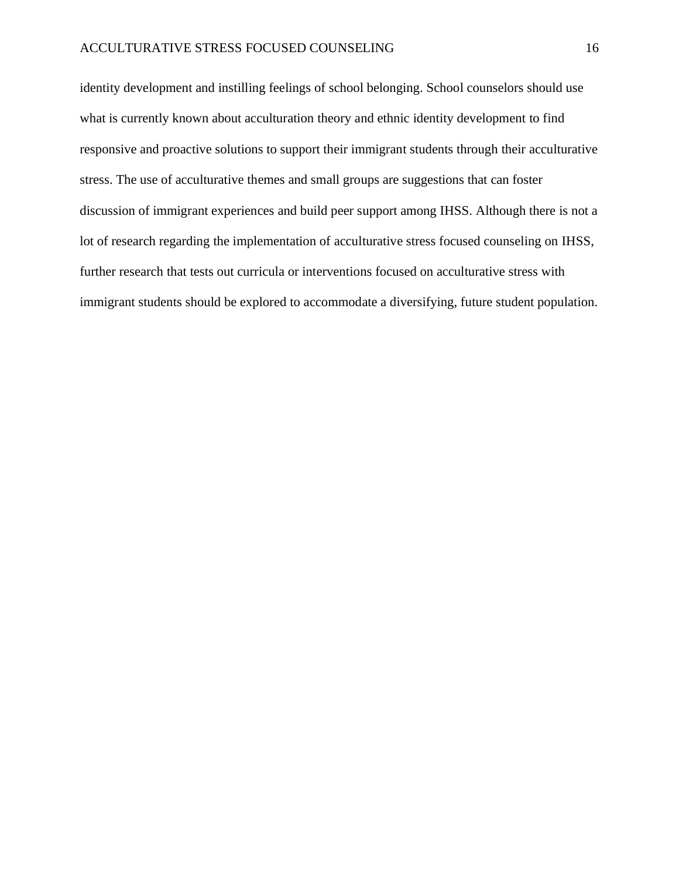identity development and instilling feelings of school belonging. School counselors should use what is currently known about acculturation theory and ethnic identity development to find responsive and proactive solutions to support their immigrant students through their acculturative stress. The use of acculturative themes and small groups are suggestions that can foster discussion of immigrant experiences and build peer support among IHSS. Although there is not a lot of research regarding the implementation of acculturative stress focused counseling on IHSS, further research that tests out curricula or interventions focused on acculturative stress with immigrant students should be explored to accommodate a diversifying, future student population.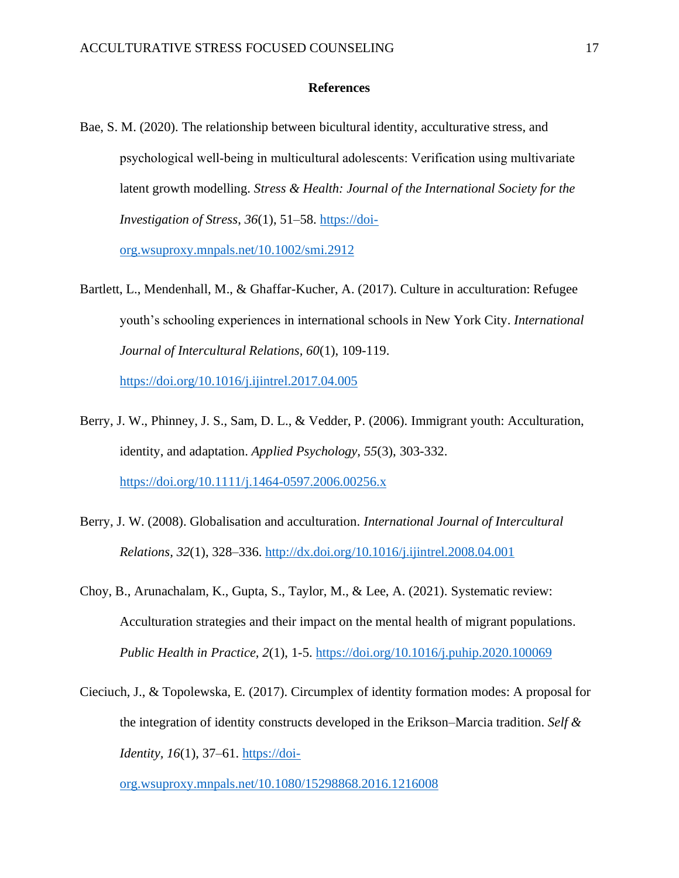#### **References**

Bae, S. M. (2020). The relationship between bicultural identity, acculturative stress, and psychological well‐being in multicultural adolescents: Verification using multivariate latent growth modelling. *Stress & Health: Journal of the International Society for the Investigation of Stress*, *36*(1), 51–58. [https://doi-](https://doi-org.wsuproxy.mnpals.net/10.1002/smi.2912)

[org.wsuproxy.mnpals.net/10.1002/smi.2912](https://doi-org.wsuproxy.mnpals.net/10.1002/smi.2912)

Bartlett, L., Mendenhall, M., & Ghaffar-Kucher, A. (2017). Culture in acculturation: Refugee youth's schooling experiences in international schools in New York City. *International Journal of Intercultural Relations, 60*(1), 109-119.

<https://doi.org/10.1016/j.ijintrel.2017.04.005>

- Berry, J. W., Phinney, J. S., Sam, D. L., & Vedder, P. (2006). Immigrant youth: Acculturation, identity, and adaptation. *Applied Psychology, 55*(3), 303-332. <https://doi.org/10.1111/j.1464-0597.2006.00256.x>
- Berry, J. W. (2008). Globalisation and acculturation. *International Journal of Intercultural Relations, 32*(1), 328–336. <http://dx.doi.org/10.1016/j.ijintrel.2008.04.001>
- Choy, B., Arunachalam, K., Gupta, S., Taylor, M., & Lee, A. (2021). Systematic review: Acculturation strategies and their impact on the mental health of migrant populations. *Public Health in Practice, 2*(1), 1-5.<https://doi.org/10.1016/j.puhip.2020.100069>
- Cieciuch, J., & Topolewska, E. (2017). Circumplex of identity formation modes: A proposal for the integration of identity constructs developed in the Erikson–Marcia tradition. *Self & Identity, 16*(1), 37–61. [https://doi-](https://doi-org.wsuproxy.mnpals.net/10.1080/15298868.2016.1216008)

[org.wsuproxy.mnpals.net/10.1080/15298868.2016.1216008](https://doi-org.wsuproxy.mnpals.net/10.1080/15298868.2016.1216008)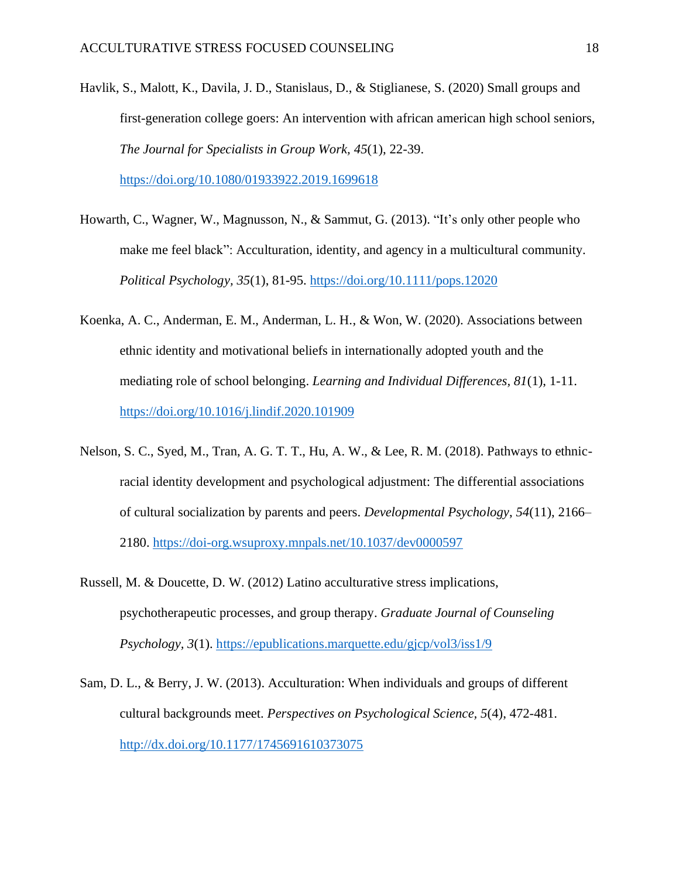- Havlik, S., Malott, K., Davila, J. D., Stanislaus, D., & Stiglianese, S. (2020) Small groups and first-generation college goers: An intervention with african american high school seniors, *The Journal for Specialists in Group Work, 45*(1), 22-39. <https://doi.org/10.1080/01933922.2019.1699618>
- Howarth, C., Wagner, W., Magnusson, N., & Sammut, G. (2013). "It's only other people who make me feel black": Acculturation, identity, and agency in a multicultural community. *Political Psychology, 35*(1), 81-95.<https://doi.org/10.1111/pops.12020>
- Koenka, A. C., Anderman, E. M., Anderman, L. H., & Won, W. (2020). Associations between ethnic identity and motivational beliefs in internationally adopted youth and the mediating role of school belonging. *Learning and Individual Differences, 81*(1), 1-11. <https://doi.org/10.1016/j.lindif.2020.101909>
- Nelson, S. C., Syed, M., Tran, A. G. T. T., Hu, A. W., & Lee, R. M. (2018). Pathways to ethnicracial identity development and psychological adjustment: The differential associations of cultural socialization by parents and peers. *Developmental Psychology*, *54*(11), 2166– 2180.<https://doi-org.wsuproxy.mnpals.net/10.1037/dev0000597>
- Russell, M. & Doucette, D. W. (2012) Latino acculturative stress implications, psychotherapeutic processes, and group therapy. *Graduate Journal of Counseling Psychology, 3*(1). <https://epublications.marquette.edu/gjcp/vol3/iss1/9>
- Sam, D. L., & Berry, J. W. (2013). Acculturation: When individuals and groups of different cultural backgrounds meet. *Perspectives on Psychological Science, 5*(4), 472-481. <http://dx.doi.org/10.1177/1745691610373075>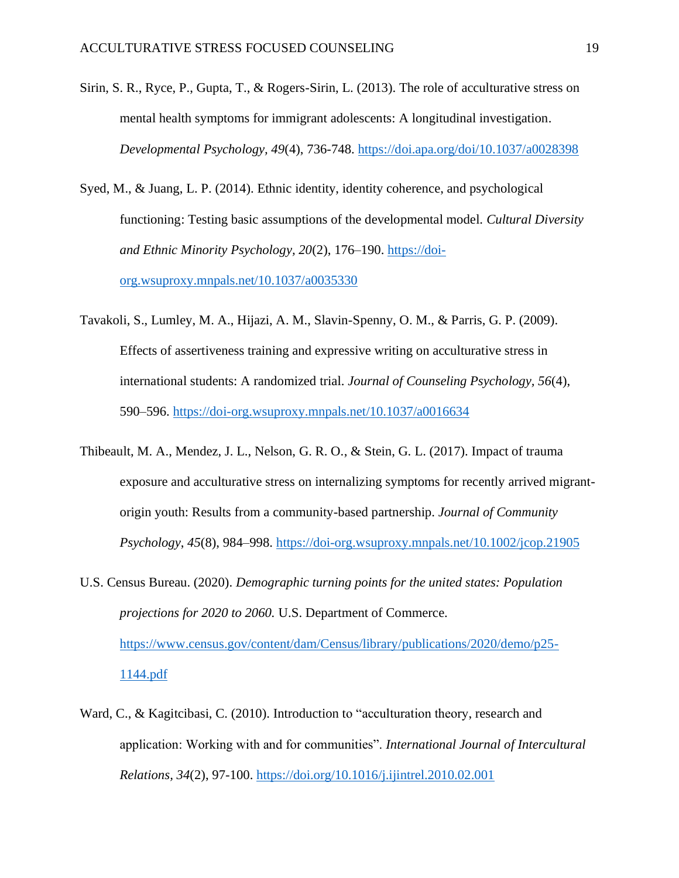- Sirin, S. R., Ryce, P., Gupta, T., & Rogers-Sirin, L. (2013). The role of acculturative stress on mental health symptoms for immigrant adolescents: A longitudinal investigation. *Developmental Psychology, 49*(4), 736-748.<https://doi.apa.org/doi/10.1037/a0028398>
- Syed, M., & Juang, L. P. (2014). Ethnic identity, identity coherence, and psychological functioning: Testing basic assumptions of the developmental model. *Cultural Diversity and Ethnic Minority Psychology, 20*(2), 176–190. [https://doi](https://doi-org.wsuproxy.mnpals.net/10.1037/a0035330)[org.wsuproxy.mnpals.net/10.1037/a0035330](https://doi-org.wsuproxy.mnpals.net/10.1037/a0035330)
- Tavakoli, S., Lumley, M. A., Hijazi, A. M., Slavin-Spenny, O. M., & Parris, G. P. (2009). Effects of assertiveness training and expressive writing on acculturative stress in international students: A randomized trial. *Journal of Counseling Psychology, 56*(4), 590–596.<https://doi-org.wsuproxy.mnpals.net/10.1037/a0016634>
- Thibeault, M. A., Mendez, J. L., Nelson, G. R. O., & Stein, G. L. (2017). Impact of trauma exposure and acculturative stress on internalizing symptoms for recently arrived migrantorigin youth: Results from a community-based partnership. *Journal of Community Psychology*, *45*(8), 984–998.<https://doi-org.wsuproxy.mnpals.net/10.1002/jcop.21905>
- U.S. Census Bureau. (2020). *Demographic turning points for the united states: Population projections for 2020 to 2060.* U.S. Department of Commerce. [https://www.census.gov/content/dam/Census/library/publications/2020/demo/p25-](https://www.census.gov/content/dam/Census/library/publications/2020/demo/p25-1144.pdf) [1144.pdf](https://www.census.gov/content/dam/Census/library/publications/2020/demo/p25-1144.pdf)
- Ward, C., & Kagitcibasi, C. (2010). Introduction to "acculturation theory, research and application: Working with and for communities". *International Journal of Intercultural Relations, 34*(2), 97-100.<https://doi.org/10.1016/j.ijintrel.2010.02.001>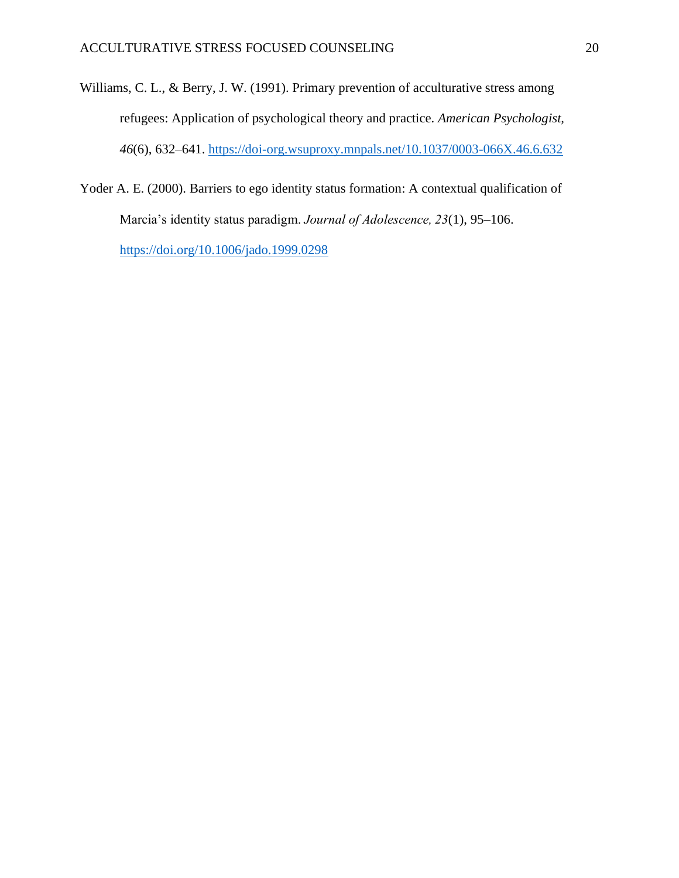- Williams, C. L., & Berry, J. W. (1991). Primary prevention of acculturative stress among refugees: Application of psychological theory and practice. *American Psychologist, 46*(6), 632–641.<https://doi-org.wsuproxy.mnpals.net/10.1037/0003-066X.46.6.632>
- Yoder A. E. (2000). Barriers to ego identity status formation: A contextual qualification of Marcia's identity status paradigm. *Journal of Adolescence, 23*(1), 95–106. <https://doi.org/10.1006/jado.1999.0298>